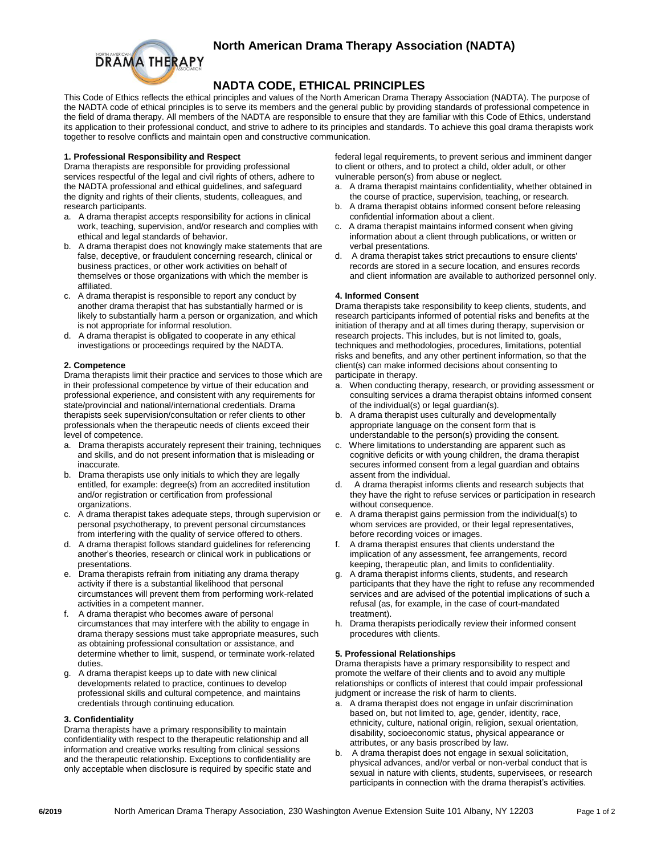# **North American Drama Therapy Association (NADTA)**



# **NADTA CODE, ETHICAL PRINCIPLES**

This Code of Ethics reflects the ethical principles and values of the North American Drama Therapy Association (NADTA). The purpose of the NADTA code of ethical principles is to serve its members and the general public by providing standards of professional competence in the field of drama therapy. All members of the NADTA are responsible to ensure that they are familiar with this Code of Ethics, understand its application to their professional conduct, and strive to adhere to its principles and standards. To achieve this goal drama therapists work together to resolve conflicts and maintain open and constructive communication.

# **1. Professional Responsibility and Respect**

Drama therapists are responsible for providing professional services respectful of the legal and civil rights of others, adhere to the NADTA professional and ethical guidelines, and safeguard the dignity and rights of their clients, students, colleagues, and research participants.

- a. A drama therapist accepts responsibility for actions in clinical work, teaching, supervision, and/or research and complies with ethical and legal standards of behavior.
- b. A drama therapist does not knowingly make statements that are false, deceptive, or fraudulent concerning research, clinical or business practices, or other work activities on behalf of themselves or those organizations with which the member is affiliated.
- c. A drama therapist is responsible to report any conduct by another drama therapist that has substantially harmed or is likely to substantially harm a person or organization, and which is not appropriate for informal resolution.
- d. A drama therapist is obligated to cooperate in any ethical investigations or proceedings required by the NADTA.

#### **2. Competence**

Drama therapists limit their practice and services to those which are in their professional competence by virtue of their education and professional experience, and consistent with any requirements for state/provincial and national/international credentials. Drama therapists seek supervision/consultation or refer clients to other professionals when the therapeutic needs of clients exceed their level of competence.

- a. Drama therapists accurately represent their training, techniques and skills, and do not present information that is misleading or inaccurate.
- b. Drama therapists use only initials to which they are legally entitled, for example: degree(s) from an accredited institution and/or registration or certification from professional organizations.
- c. A drama therapist takes adequate steps, through supervision or personal psychotherapy, to prevent personal circumstances from interfering with the quality of service offered to others.
- d. A drama therapist follows standard guidelines for referencing another's theories, research or clinical work in publications or presentations.
- e. Drama therapists refrain from initiating any drama therapy activity if there is a substantial likelihood that personal circumstances will prevent them from performing work-related activities in a competent manner.
- f. A drama therapist who becomes aware of personal circumstances that may interfere with the ability to engage in drama therapy sessions must take appropriate measures, such as obtaining professional consultation or assistance, and determine whether to limit, suspend, or terminate work-related duties.
- g. A drama therapist keeps up to date with new clinical developments related to practice, continues to develop professional skills and cultural competence, and maintains credentials through continuing education.

#### **3. Confidentiality**

Drama therapists have a primary responsibility to maintain confidentiality with respect to the therapeutic relationship and all information and creative works resulting from clinical sessions and the therapeutic relationship. Exceptions to confidentiality are only acceptable when disclosure is required by specific state and federal legal requirements, to prevent serious and imminent danger to client or others, and to protect a child, older adult, or other vulnerable person(s) from abuse or neglect.

- a. A drama therapist maintains confidentiality, whether obtained in the course of practice, supervision, teaching, or research.
- b. A drama therapist obtains informed consent before releasing confidential information about a client.
- c. A drama therapist maintains informed consent when giving information about a client through publications, or written or verbal presentations.
- d. A drama therapist takes strict precautions to ensure clients' records are stored in a secure location, and ensures records and client information are available to authorized personnel only.

#### **4. Informed Consent**

Drama therapists take responsibility to keep clients, students, and research participants informed of potential risks and benefits at the initiation of therapy and at all times during therapy, supervision or research projects. This includes, but is not limited to, goals, techniques and methodologies, procedures, limitations, potential risks and benefits, and any other pertinent information, so that the client(s) can make informed decisions about consenting to participate in therapy.

- a. When conducting therapy, research, or providing assessment or consulting services a drama therapist obtains informed consent of the individual(s) or legal guardian(s).
- b. A drama therapist uses culturally and developmentally appropriate language on the consent form that is understandable to the person(s) providing the consent.
- c. Where limitations to understanding are apparent such as cognitive deficits or with young children, the drama therapist secures informed consent from a legal guardian and obtains assent from the individual.
- A drama therapist informs clients and research subjects that they have the right to refuse services or participation in research without consequence.
- e. A drama therapist gains permission from the individual(s) to whom services are provided, or their legal representatives, before recording voices or images.
- A drama therapist ensures that clients understand the implication of any assessment, fee arrangements, record keeping, therapeutic plan, and limits to confidentiality.
- g. A drama therapist informs clients, students, and research participants that they have the right to refuse any recommended services and are advised of the potential implications of such a refusal (as, for example, in the case of court-mandated treatment).
- h. Drama therapists periodically review their informed consent procedures with clients.

# **5. Professional Relationships**

Drama therapists have a primary responsibility to respect and promote the welfare of their clients and to avoid any multiple relationships or conflicts of interest that could impair professional judgment or increase the risk of harm to clients.

- a. A drama therapist does not engage in unfair discrimination based on, but not limited to, age, gender, identity, race, ethnicity, culture, national origin, religion, sexual orientation, disability, socioeconomic status, physical appearance or attributes, or any basis proscribed by law.
- b. A drama therapist does not engage in sexual solicitation, physical advances, and/or verbal or non-verbal conduct that is sexual in nature with clients, students, supervisees, or research participants in connection with the drama therapist's activities.